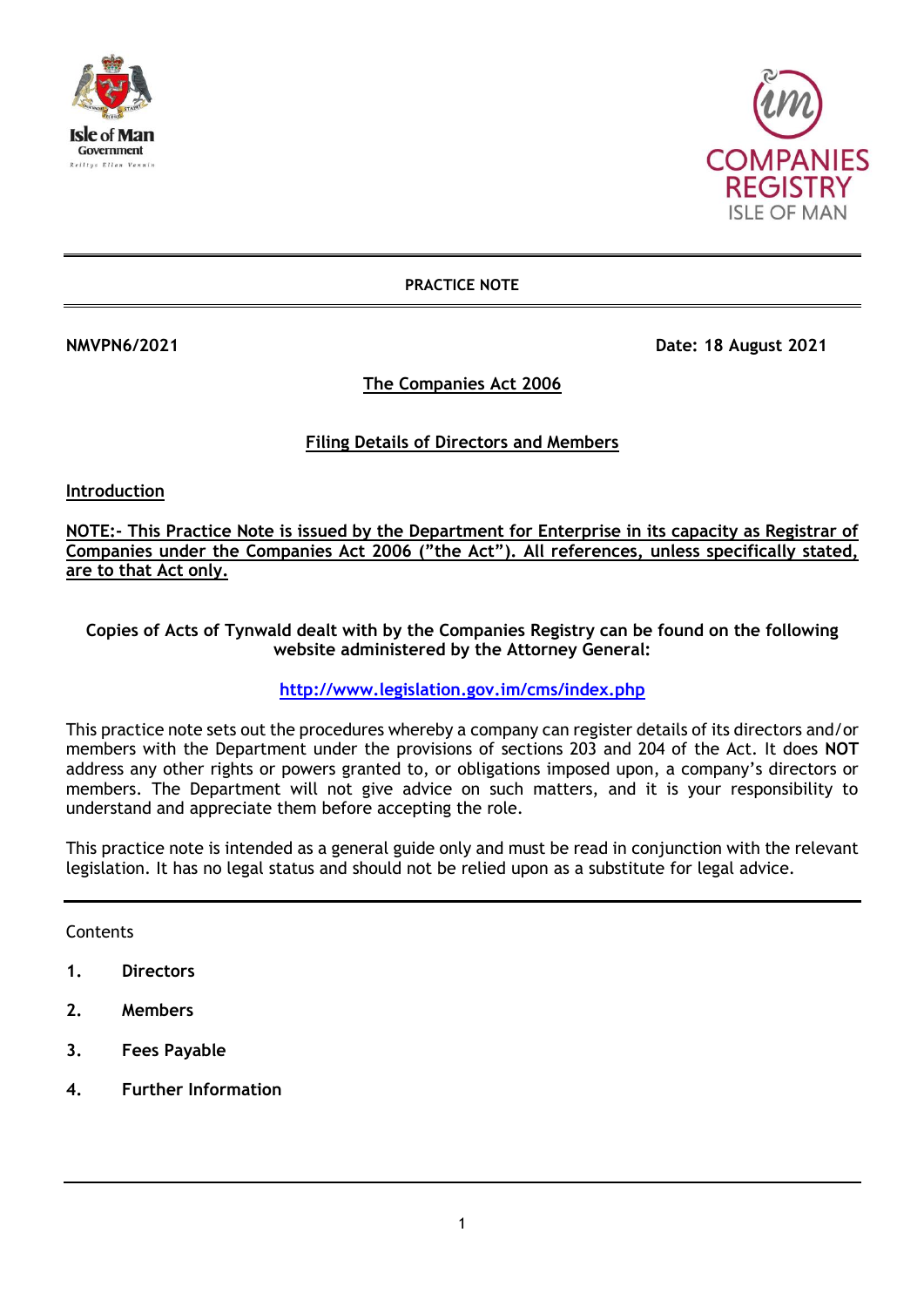



**PRACTICE NOTE**

**NMVPN6/2021 Date: 18 August 2021** 

## **The Companies Act 2006**

# **Filing Details of Directors and Members**

**Introduction**

**NOTE:- This Practice Note is issued by the Department for Enterprise in its capacity as Registrar of Companies under the Companies Act 2006 ("the Act"). All references, unless specifically stated, are to that Act only.**

### **Copies of Acts of Tynwald dealt with by the Companies Registry can be found on the following website administered by the Attorney General:**

# **<http://www.legislation.gov.im/cms/index.php>**

This practice note sets out the procedures whereby a company can register details of its directors and/or members with the Department under the provisions of sections 203 and 204 of the Act. It does **NOT**  address any other rights or powers granted to, or obligations imposed upon, a company's directors or members. The Department will not give advice on such matters, and it is your responsibility to understand and appreciate them before accepting the role.

This practice note is intended as a general guide only and must be read in conjunction with the relevant legislation. It has no legal status and should not be relied upon as a substitute for legal advice.

**Contents** 

- **1. Directors**
- **2. Members**
- **3. Fees Payable**
- **4. Further Information**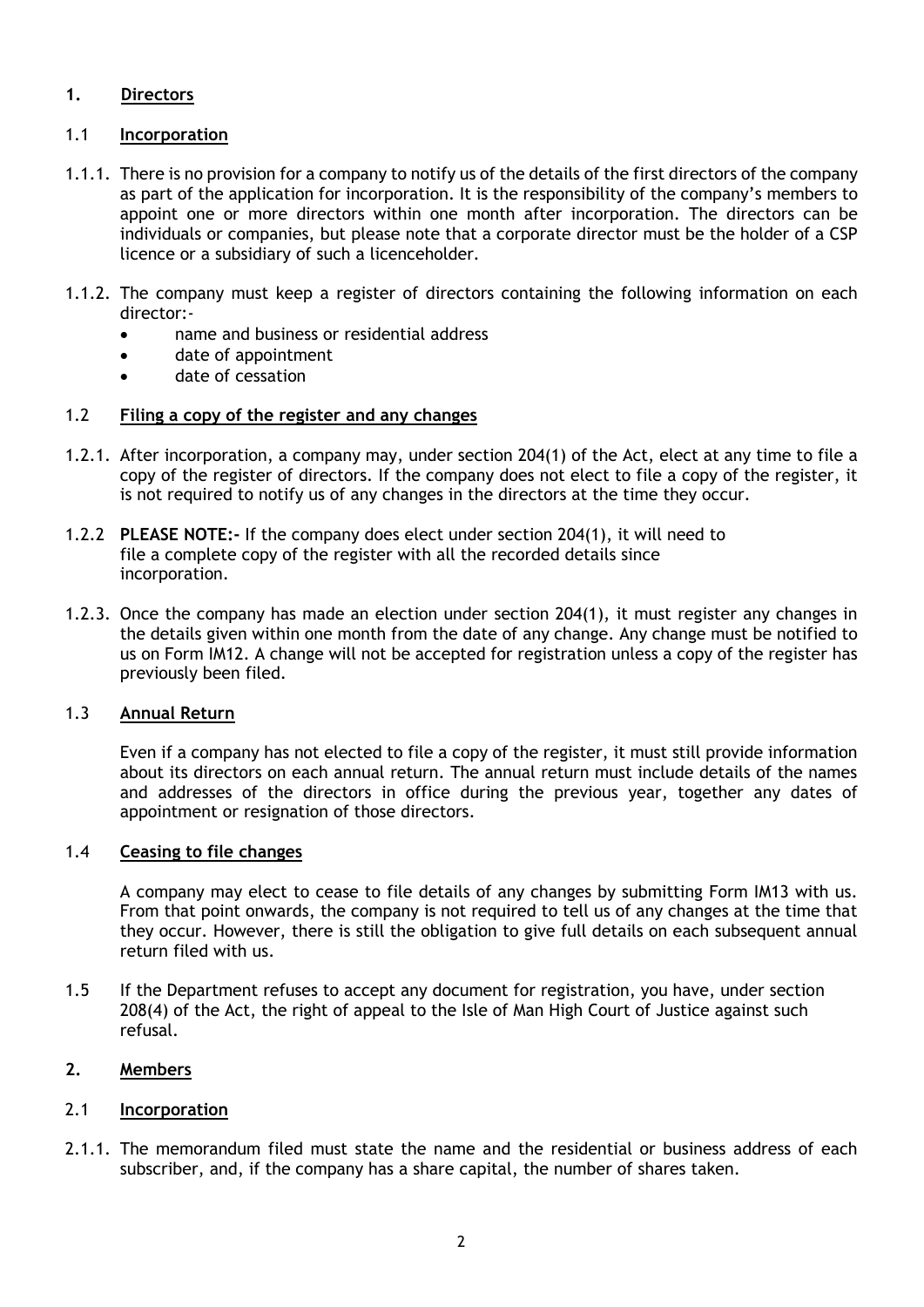# **1. Directors**

## 1.1 **Incorporation**

- 1.1.1. There is no provision for a company to notify us of the details of the first directors of the company as part of the application for incorporation. It is the responsibility of the company's members to appoint one or more directors within one month after incorporation. The directors can be individuals or companies, but please note that a corporate director must be the holder of a CSP licence or a subsidiary of such a licenceholder.
- 1.1.2. The company must keep a register of directors containing the following information on each director:
	- name and business or residential address
	- date of appointment
	- date of cessation

## 1.2 **Filing a copy of the register and any changes**

- 1.2.1. After incorporation, a company may, under section 204(1) of the Act, elect at any time to file a copy of the register of directors. If the company does not elect to file a copy of the register, it is not required to notify us of any changes in the directors at the time they occur.
- 1.2.2 **PLEASE NOTE:-** If the company does elect under section 204(1), it will need to file a complete copy of the register with all the recorded details since incorporation.
- 1.2.3. Once the company has made an election under section 204(1), it must register any changes in the details given within one month from the date of any change. Any change must be notified to us on Form IM12. A change will not be accepted for registration unless a copy of the register has previously been filed.

## 1.3 **Annual Return**

Even if a company has not elected to file a copy of the register, it must still provide information about its directors on each annual return. The annual return must include details of the names and addresses of the directors in office during the previous year, together any dates of appointment or resignation of those directors.

### 1.4 **Ceasing to file changes**

A company may elect to cease to file details of any changes by submitting Form IM13 with us. From that point onwards, the company is not required to tell us of any changes at the time that they occur. However, there is still the obligation to give full details on each subsequent annual return filed with us.

1.5 If the Department refuses to accept any document for registration, you have, under section 208(4) of the Act, the right of appeal to the Isle of Man High Court of Justice against such refusal.

### **2. Members**

### 2.1 **Incorporation**

2.1.1. The memorandum filed must state the name and the residential or business address of each subscriber, and, if the company has a share capital, the number of shares taken.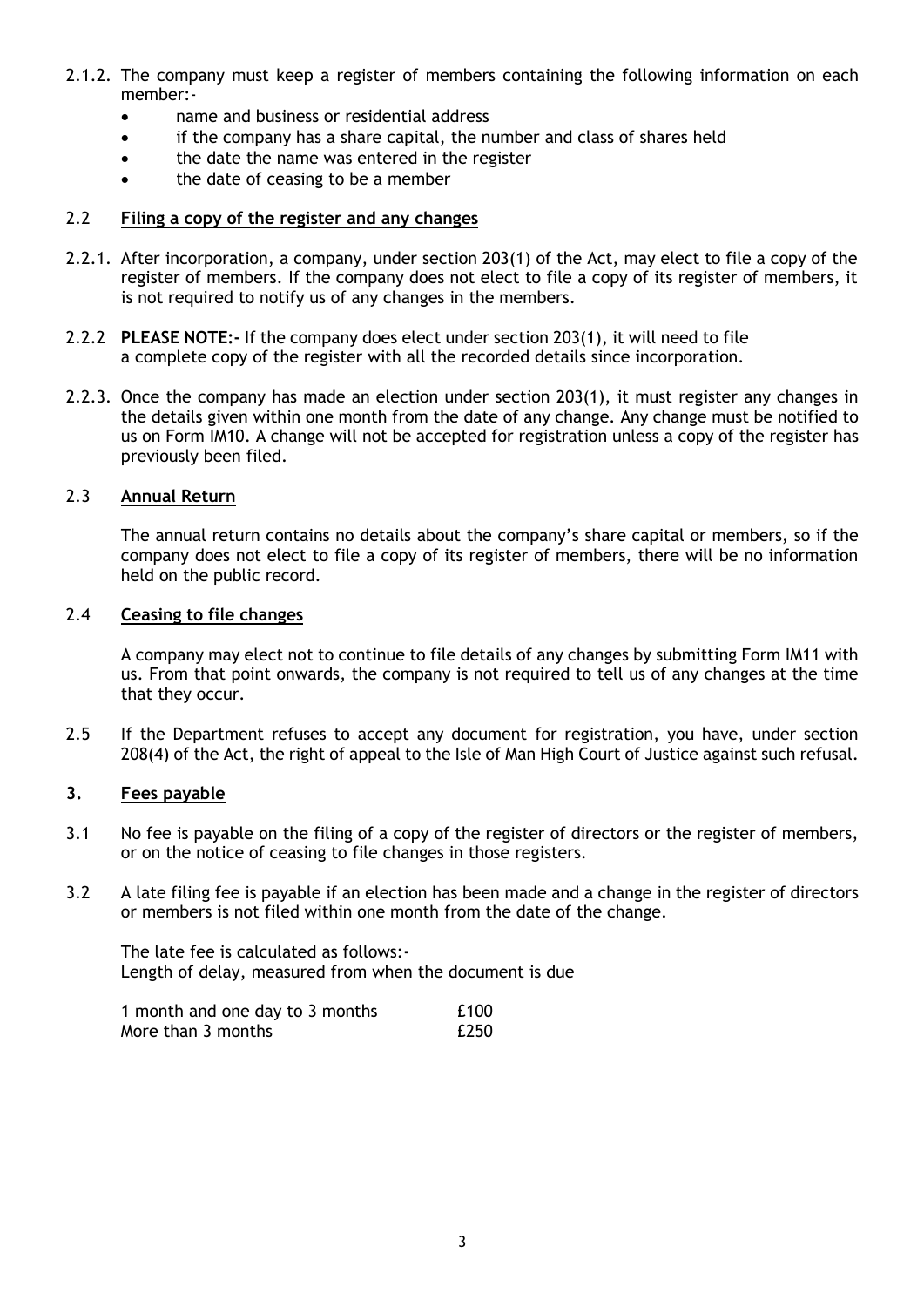- 2.1.2. The company must keep a register of members containing the following information on each member:
	- name and business or residential address
	- if the company has a share capital, the number and class of shares held
	- the date the name was entered in the register
	- the date of ceasing to be a member

### 2.2 **Filing a copy of the register and any changes**

- 2.2.1. After incorporation, a company, under section 203(1) of the Act, may elect to file a copy of the register of members. If the company does not elect to file a copy of its register of members, it is not required to notify us of any changes in the members.
- 2.2.2 **PLEASE NOTE:-** If the company does elect under section 203(1), it will need to file a complete copy of the register with all the recorded details since incorporation.
- 2.2.3. Once the company has made an election under section 203(1), it must register any changes in the details given within one month from the date of any change. Any change must be notified to us on Form IM10. A change will not be accepted for registration unless a copy of the register has previously been filed.

## 2.3 **Annual Return**

The annual return contains no details about the company's share capital or members, so if the company does not elect to file a copy of its register of members, there will be no information held on the public record.

#### 2.4 **Ceasing to file changes**

A company may elect not to continue to file details of any changes by submitting Form IM11 with us. From that point onwards, the company is not required to tell us of any changes at the time that they occur.

2.5 If the Department refuses to accept any document for registration, you have, under section 208(4) of the Act, the right of appeal to the Isle of Man High Court of Justice against such refusal.

### **3. Fees payable**

- 3.1 No fee is payable on the filing of a copy of the register of directors or the register of members, or on the notice of ceasing to file changes in those registers.
- 3.2 A late filing fee is payable if an election has been made and a change in the register of directors or members is not filed within one month from the date of the change.

The late fee is calculated as follows:- Length of delay, measured from when the document is due

| 1 month and one day to 3 months | £100 |
|---------------------------------|------|
| More than 3 months              | £250 |